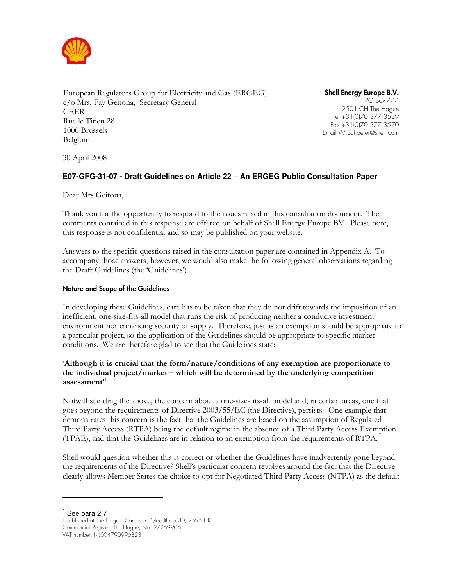

European Regulators Group for Electricity and Gas (ERGEG) c/o Mrs. Fay Geitona, Secretary General CEER Rue le Titien 28 1000 Brussels Belgium

Shell Energy Europe B.V. PO Box 444 2501 CH The Hague Tel +31(0)70 377 3529 Fax +31(0)70 377 3570 Email W.Schaefer@shell.com

30 April 2008

# **E07-GFG-31-07 - Draft Guidelines on Article 22 – An ERGEG Public Consultation Paper**

Dear Mrs Geitona,

Thank you for the opportunity to respond to the issues raised in this consultation document. The comments contained in this response are offered on behalf of Shell Energy Europe BV. Please note, this response is not confidential and so may be published on your website.

Answers to the specific questions raised in the consultation paper are contained in Appendix A. To accompany those answers, however, we would also make the following general observations regarding the Draft Guidelines (the 'Guidelines').

#### Nature and Scope of the Guidelines

In developing these Guidelines, care has to be taken that they do not drift towards the imposition of an inefficient, one-size-fits-all model that runs the risk of producing neither a conducive investment environment nor enhancing security of supply. Therefore, just as an exemption should be appropriate to a particular project, so the application of the Guidelines should be appropriate to specific market conditions. We are therefore glad to see that the Guidelines state:

## 'Although it is crucial that the form/nature/conditions of any exemption are proportionate to the individual project/market – which will be determined by the underlying competition assessment $^{1}$

Notwithstanding the above, the concern about a one-size-fits-all model and, in certain areas, one that goes beyond the requirements of Directive 2003/55/EC (the Directive), persists. One example that demonstrates this concern is the fact that the Guidelines are based on the assumption of Regulated Third Party Access (RTPA) being the default regime in the absence of a Third Party Access Exemption (TPAE), and that the Guidelines are in relation to an exemption from the requirements of RTPA.

Shell would question whether this is correct or whether the Guidelines have inadvertently gone beyond the requirements of the Directive? Shell's particular concern revolves around the fact that the Directive clearly allows Member States the choice to opt for Negotiated Third Party Access (NTPA) as the default

 $<sup>1</sup>$  See para 2.7</sup>

1

Established at The Hague, Carel van Bylandtlaan 30, 2596 HR Commercial Register, The Hague, No. 27259906 VAT number: NL004790996B23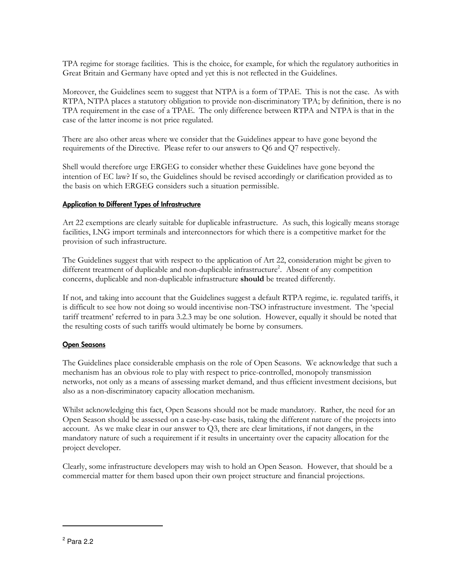TPA regime for storage facilities. This is the choice, for example, for which the regulatory authorities in Great Britain and Germany have opted and yet this is not reflected in the Guidelines.

Moreover, the Guidelines seem to suggest that NTPA is a form of TPAE. This is not the case. As with RTPA, NTPA places a statutory obligation to provide non-discriminatory TPA; by definition, there is no TPA requirement in the case of a TPAE. The only difference between RTPA and NTPA is that in the case of the latter income is not price regulated.

There are also other areas where we consider that the Guidelines appear to have gone beyond the requirements of the Directive. Please refer to our answers to Q6 and Q7 respectively.

Shell would therefore urge ERGEG to consider whether these Guidelines have gone beyond the intention of EC law? If so, the Guidelines should be revised accordingly or clarification provided as to the basis on which ERGEG considers such a situation permissible.

# Application to Different Types of Infrastructure

Art 22 exemptions are clearly suitable for duplicable infrastructure. As such, this logically means storage facilities, LNG import terminals and interconnectors for which there is a competitive market for the provision of such infrastructure.

The Guidelines suggest that with respect to the application of Art 22, consideration might be given to different treatment of duplicable and non-duplicable infrastructure<sup>2</sup>. Absent of any competition concerns, duplicable and non-duplicable infrastructure should be treated differently.

If not, and taking into account that the Guidelines suggest a default RTPA regime, ie. regulated tariffs, it is difficult to see how not doing so would incentivise non-TSO infrastructure investment. The 'special tariff treatment' referred to in para 3.2.3 may be one solution. However, equally it should be noted that the resulting costs of such tariffs would ultimately be borne by consumers.

## Open Seasons

The Guidelines place considerable emphasis on the role of Open Seasons. We acknowledge that such a mechanism has an obvious role to play with respect to price-controlled, monopoly transmission networks, not only as a means of assessing market demand, and thus efficient investment decisions, but also as a non-discriminatory capacity allocation mechanism.

Whilst acknowledging this fact, Open Seasons should not be made mandatory. Rather, the need for an Open Season should be assessed on a case-by-case basis, taking the different nature of the projects into account. As we make clear in our answer to Q3, there are clear limitations, if not dangers, in the mandatory nature of such a requirement if it results in uncertainty over the capacity allocation for the project developer.

Clearly, some infrastructure developers may wish to hold an Open Season. However, that should be a commercial matter for them based upon their own project structure and financial projections.

-

<sup>2</sup> Para 2.2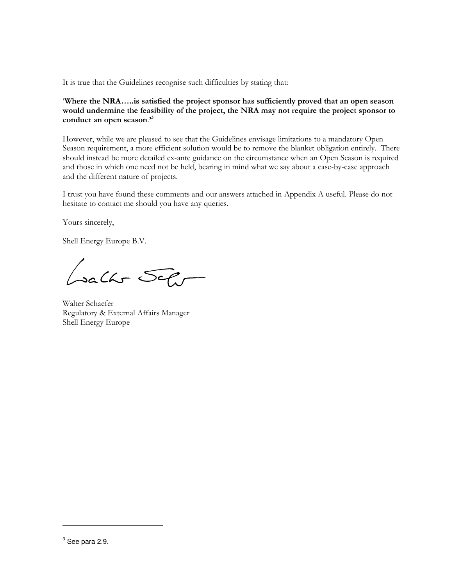It is true that the Guidelines recognise such difficulties by stating that:

'Where the NRA…..is satisfied the project sponsor has sufficiently proved that an open season would undermine the feasibility of the project, the NRA may not require the project sponsor to conduct an open season."

However, while we are pleased to see that the Guidelines envisage limitations to a mandatory Open Season requirement, a more efficient solution would be to remove the blanket obligation entirely. There should instead be more detailed ex-ante guidance on the circumstance when an Open Season is required and those in which one need not be held, bearing in mind what we say about a case-by-case approach and the different nature of projects.

I trust you have found these comments and our answers attached in Appendix A useful. Please do not hesitate to contact me should you have any queries.

Yours sincerely,

Shell Energy Europe B.V.

Lacht Sehr

Walter Schaefer Regulatory & External Affairs Manager Shell Energy Europe

-

 $^3$  See para 2.9.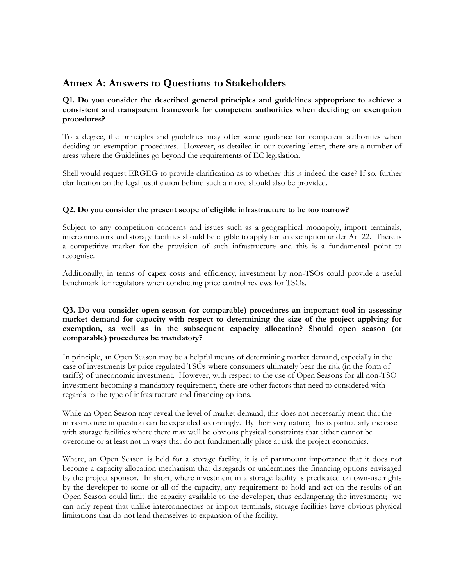# Annex A: Answers to Questions to Stakeholders

## Q1. Do you consider the described general principles and guidelines appropriate to achieve a consistent and transparent framework for competent authorities when deciding on exemption procedures?

To a degree, the principles and guidelines may offer some guidance for competent authorities when deciding on exemption procedures. However, as detailed in our covering letter, there are a number of areas where the Guidelines go beyond the requirements of EC legislation.

Shell would request ERGEG to provide clarification as to whether this is indeed the case? If so, further clarification on the legal justification behind such a move should also be provided.

# Q2. Do you consider the present scope of eligible infrastructure to be too narrow?

Subject to any competition concerns and issues such as a geographical monopoly, import terminals, interconnectors and storage facilities should be eligible to apply for an exemption under Art 22. There is a competitive market for the provision of such infrastructure and this is a fundamental point to recognise.

Additionally, in terms of capex costs and efficiency, investment by non-TSOs could provide a useful benchmark for regulators when conducting price control reviews for TSOs.

# Q3. Do you consider open season (or comparable) procedures an important tool in assessing market demand for capacity with respect to determining the size of the project applying for exemption, as well as in the subsequent capacity allocation? Should open season (or comparable) procedures be mandatory?

In principle, an Open Season may be a helpful means of determining market demand, especially in the case of investments by price regulated TSOs where consumers ultimately bear the risk (in the form of tariffs) of uneconomic investment. However, with respect to the use of Open Seasons for all non-TSO investment becoming a mandatory requirement, there are other factors that need to considered with regards to the type of infrastructure and financing options.

While an Open Season may reveal the level of market demand, this does not necessarily mean that the infrastructure in question can be expanded accordingly. By their very nature, this is particularly the case with storage facilities where there may well be obvious physical constraints that either cannot be overcome or at least not in ways that do not fundamentally place at risk the project economics.

Where, an Open Season is held for a storage facility, it is of paramount importance that it does not become a capacity allocation mechanism that disregards or undermines the financing options envisaged by the project sponsor. In short, where investment in a storage facility is predicated on own-use rights by the developer to some or all of the capacity, any requirement to hold and act on the results of an Open Season could limit the capacity available to the developer, thus endangering the investment; we can only repeat that unlike interconnectors or import terminals, storage facilities have obvious physical limitations that do not lend themselves to expansion of the facility.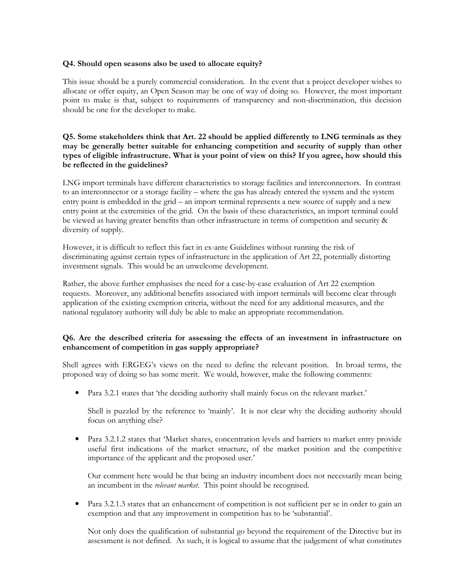### Q4. Should open seasons also be used to allocate equity?

This issue should be a purely commercial consideration. In the event that a project developer wishes to allocate or offer equity, an Open Season may be one of way of doing so. However, the most important point to make is that, subject to requirements of transparency and non-discrimination, this decision should be one for the developer to make.

# Q5. Some stakeholders think that Art. 22 should be applied differently to LNG terminals as they may be generally better suitable for enhancing competition and security of supply than other types of eligible infrastructure. What is your point of view on this? If you agree, how should this be reflected in the guidelines?

LNG import terminals have different characteristics to storage facilities and interconnectors. In contrast to an interconnector or a storage facility – where the gas has already entered the system and the system entry point is embedded in the grid – an import terminal represents a new source of supply and a new entry point at the extremities of the grid. On the basis of these characteristics, an import terminal could be viewed as having greater benefits than other infrastructure in terms of competition and security & diversity of supply.

However, it is difficult to reflect this fact in ex-ante Guidelines without running the risk of discriminating against certain types of infrastructure in the application of Art 22, potentially distorting investment signals. This would be an unwelcome development.

Rather, the above further emphasises the need for a case-by-case evaluation of Art 22 exemption requests. Moreover, any additional benefits associated with import terminals will become clear through application of the existing exemption criteria, without the need for any additional measures, and the national regulatory authority will duly be able to make an appropriate recommendation.

# Q6. Are the described criteria for assessing the effects of an investment in infrastructure on enhancement of competition in gas supply appropriate?

Shell agrees with ERGEG's views on the need to define the relevant position. In broad terms, the proposed way of doing so has some merit. We would, however, make the following comments:

• Para 3.2.1 states that 'the deciding authority shall mainly focus on the relevant market.'

Shell is puzzled by the reference to 'mainly'. It is not clear why the deciding authority should focus on anything else?

• Para 3.2.1.2 states that 'Market shares, concentration levels and barriers to market entry provide useful first indications of the market structure, of the market position and the competitive importance of the applicant and the proposed user.'

Our comment here would be that being an industry incumbent does not necessarily mean being an incumbent in the *relevant market*. This point should be recognised.

Para 3.2.1.3 states that an enhancement of competition is not sufficient per se in order to gain an exemption and that any improvement in competition has to be 'substantial'.

Not only does the qualification of substantial go beyond the requirement of the Directive but its assessment is not defined. As such, it is logical to assume that the judgement of what constitutes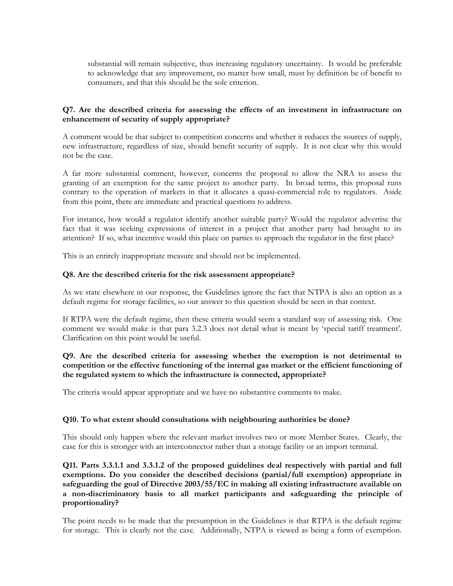substantial will remain subjective, thus increasing regulatory uncertainty. It would be preferable to acknowledge that any improvement, no matter how small, must by definition be of benefit to consumers, and that this should be the sole criterion.

## Q7. Are the described criteria for assessing the effects of an investment in infrastructure on enhancement of security of supply appropriate?

A comment would be that subject to competition concerns and whether it reduces the sources of supply, new infrastructure, regardless of size, should benefit security of supply. It is not clear why this would not be the case.

A far more substantial comment, however, concerns the proposal to allow the NRA to assess the granting of an exemption for the same project to another party. In broad terms, this proposal runs contrary to the operation of markets in that it allocates a quasi-commercial role to regulators. Aside from this point, there are immediate and practical questions to address.

For instance, how would a regulator identify another suitable party? Would the regulator advertise the fact that it was seeking expressions of interest in a project that another party had brought to its attention? If so, what incentive would this place on parties to approach the regulator in the first place?

This is an entirely inappropriate measure and should not be implemented.

#### Q8. Are the described criteria for the risk assessment appropriate?

As we state elsewhere in our response, the Guidelines ignore the fact that NTPA is also an option as a default regime for storage facilities, so our answer to this question should be seen in that context.

If RTPA were the default regime, then these criteria would seem a standard way of assessing risk. One comment we would make is that para 3.2.3 does not detail what is meant by 'special tariff treatment'. Clarification on this point would be useful.

## Q9. Are the described criteria for assessing whether the exemption is not detrimental to competition or the effective functioning of the internal gas market or the efficient functioning of the regulated system to which the infrastructure is connected, appropriate?

The criteria would appear appropriate and we have no substantive comments to make.

## Q10. To what extent should consultations with neighbouring authorities be done?

This should only happen where the relevant market involves two or more Member States. Clearly, the case for this is stronger with an interconnector rather than a storage facility or an import terminal.

Q11. Parts 3.3.1.1 and 3.3.1.2 of the proposed guidelines deal respectively with partial and full exemptions. Do you consider the described decisions (partial/full exemption) appropriate in safeguarding the goal of Directive 2003/55/EC in making all existing infrastructure available on a non-discriminatory basis to all market participants and safeguarding the principle of proportionality?

The point needs to be made that the presumption in the Guidelines is that RTPA is the default regime for storage. This is clearly not the case. Additionally, NTPA is viewed as being a form of exemption.